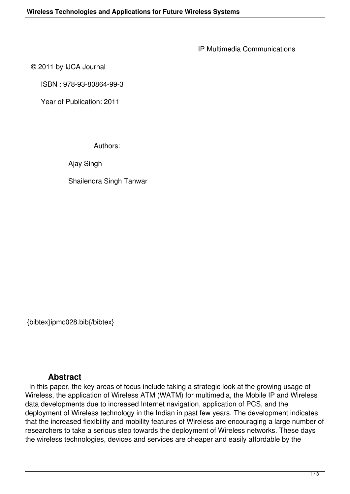IP Multimedia Communications

© 2011 by IJCA Journal

ISBN : 978-93-80864-99-3

Year of Publication: 2011

Authors:

Ajay Singh

Shailendra Singh Tanwar

{bibtex}ipmc028.bib{/bibtex}

## **Abstract**

 In this paper, the key areas of focus include taking a strategic look at the growing usage of Wireless, the application of Wireless ATM (WATM) for multimedia, the Mobile IP and Wireless data developments due to increased Internet navigation, application of PCS, and the deployment of Wireless technology in the Indian in past few years. The development indicates that the increased flexibility and mobility features of Wireless are encouraging a large number of researchers to take a serious step towards the deployment of Wireless networks. These days the wireless technologies, devices and services are cheaper and easily affordable by the